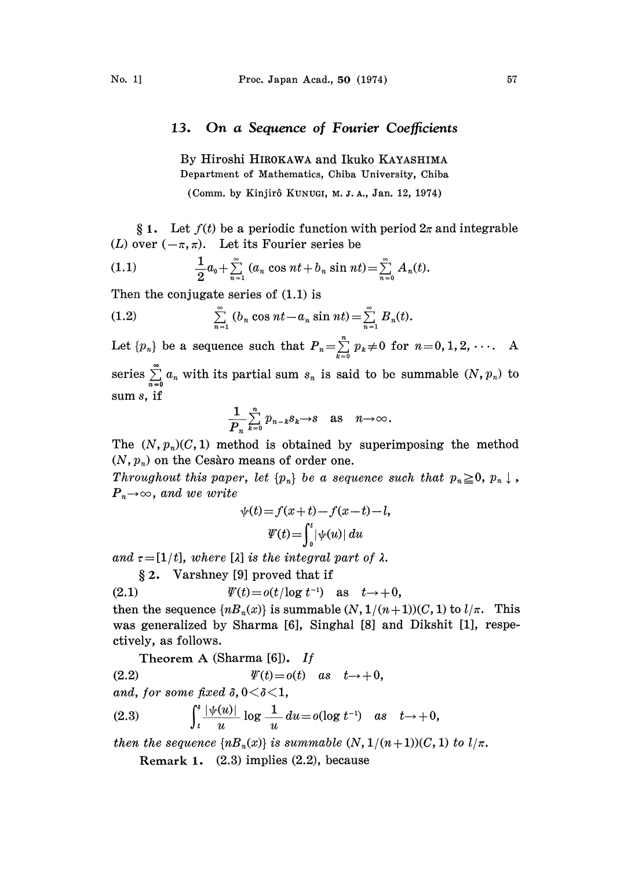## 13. On a Sequence of Fourier Coefficients

By Hiroshi HIROKAWA and Ikuko KAYASHIMA Department of Mathematics, Chiba University, Chiba

(Comm. by Kinjir6 KUNUGI, M. J. A., Jan. 12, 1974)

§ 1. Let  $f(t)$  be a periodic function with period  $2\pi$  and integrable (L) over  $(-\pi, \pi)$ . Let its Fourier series be

(1.1) 
$$
\frac{1}{2}a_0 + \sum_{n=1}^{\infty} (a_n \cos nt + b_n \sin nt) = \sum_{n=0}^{\infty} A_n(t).
$$

Then the conjugate series of  $(1.1)$  is

(1.2) 
$$
\sum_{n=1}^{\infty} (b_n \cos nt - a_n \sin nt) = \sum_{n=1}^{\infty} B_n(t).
$$

Let  $\{p_n\}$  be a sequence such that  $P_n = \sum_{k=0}^{n} p_k \neq 0$  for  $n=0,1,2, \cdots$ . A

series  $\sum_{n=0}^{\infty} a_n$  with its partial sum  $s_n$  is said to be summable  $(N, p_n)$  to sum s, if

$$
\frac{1}{P_n}\sum_{k=0}^n p_{n-k}s_k \to s \quad \text{as} \quad n \to \infty.
$$

The  $(N, p_n)(C, 1)$  method is obtained by superimposing the method  $(N, p_n)$  on the Cesaro means of order one.

Throughout this paper, let  $\{p_n\}$  be a sequence such that  $p_n \geq 0$ ,  $p_n \downarrow$ ,  $P_n\rightarrow\infty$ , and we write

$$
\psi(t) = f(x+t) - f(x-t) - l,
$$
  

$$
\Psi(t) = \int_0^t |\psi(u)| du
$$

and  $\tau=[1/t]$ , where [ $\lambda$ ] is the integral part of  $\lambda$ .

2. Varshney [9] proved that if

(2.1) (t)=o(t/logt-) as t-.+0,

then the sequence  $\{nB_n(x)\}\$ is summable  $(N, 1/(n+1))(C, 1)$  to  $l/\pi$ . This was generalized by Sharma [6], Singhal [8] and Dikshit [1], respectively, as follows.

Theorem A (Sharma 
$$
[6]
$$
). If

(2.2)  $\psi(t) = o(t)$  as  $t \rightarrow +0$ ,

and, for some fixed  $\delta$ ,  $0 < \delta < 1$ ,

(2.3) 
$$
\int_{t}^{s} \frac{|\psi(u)|}{u} \log \frac{1}{u} du = o(\log t^{-1}) \text{ as } t \to +0,
$$

then the sequence  $\{nB_n(x)\}\$ is summable  $(N, 1/(n+1))(C, 1)$  to  $l/\pi$ .

Remark 1. (2.3) implies (2.2), because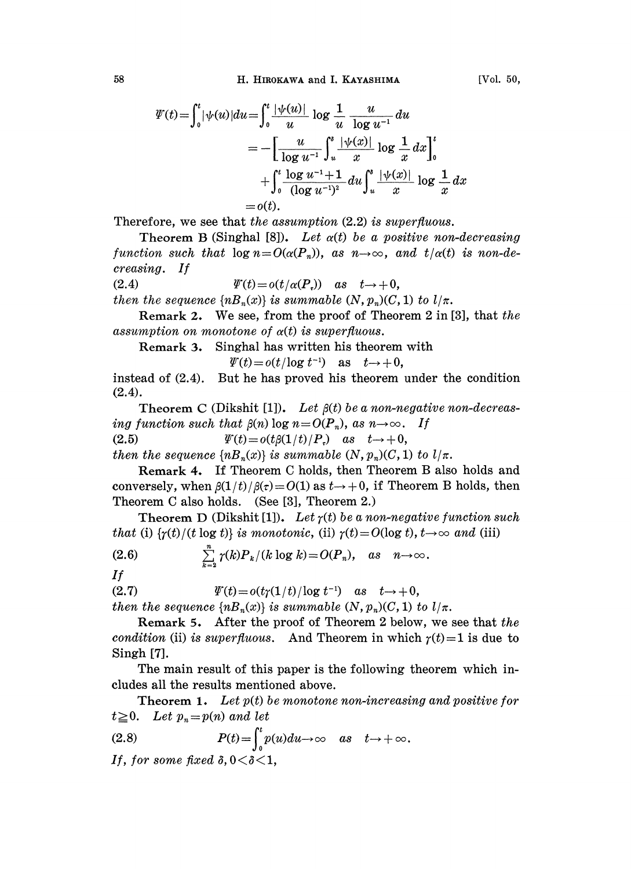$$
\Psi(t) = \int_0^t |\psi(u)| du = \int_0^t \frac{|\psi(u)|}{u} \log \frac{1}{u} \frac{u}{\log u^{-1}} du
$$
  
= 
$$
- \left[ \frac{u}{\log u^{-1}} \int_u^s \frac{|\psi(x)|}{x} \log \frac{1}{x} dx \right]_0^t
$$
  
+ 
$$
\int_0^t \frac{\log u^{-1} + 1}{(\log u^{-1})^2} du \int_u^s \frac{|\psi(x)|}{x} \log \frac{1}{x} dx
$$
  
=  $o(t).$ 

Therefore, we see that the assumption  $(2.2)$  is superfluous.

Theorem B (Singhal [8]). Let  $\alpha(t)$  be a positive non-decreasing function such that  $\log n = O(\alpha(P_n))$ , as  $n \to \infty$ , and  $t/\alpha(t)$  is non-decreasing. If

(2.4) 
$$
\Psi(t) = o(t/\alpha(P_\tau)) \quad as \quad t \to +0,
$$

then the sequence  $\{nB_n(x)\}\$ is summable  $(N, p_n)(C, 1)$  to  $l/\pi$ .

Remark 2. We see, from the proof of Theorem 2 in [3], that the assumption on monotone of  $\alpha(t)$  is superfluous.

Remark 3. Singhal has written his theorem with

 $\psi(t) = o(t/\log t^{-1})$  as  $t \rightarrow +0$ ,

instead of  $(2.4)$ . But he has proved his theorem under the condition (2.4).

Theorem C (Dikshit [1]). Let  $\beta(t)$  be a non-negative non-decreas-Theorem C (Dikshit [1]). Let  $\beta(t)$  be a non-negation such that  $\beta(n)$  log  $n=O(P_n)$ , as  $n\rightarrow\infty$ . If  $\text{arg}$  function such that  $\beta(n)$  log  $n = O(P_n)$ , as  $n \to \infty$ .<br>
(2.5)  $\text{Var}(t) = o(t\beta(1/t)/P_r)$  as  $t \to +0$ ,

then the sequence  $\{nB_n(x)\}\$ is summable  $(N, p_n)(C, 1)$  to  $l/\pi$ .

Remark 4. If Theorem C holds, then Theorem B also holds and conversely, when  $\beta(1/t)/\beta(\tau)=O(1)$  as  $t\rightarrow+0$ , if Theorem B holds, then Theorem C also holds. (See [3], Theorem 2.)

Theorem D (Dikshit [1]). Let  $\gamma(t)$  be a non-negative function such that (i)  $\{\gamma(t)/(t \log t)\}\)$  is monotonic, (ii)  $\gamma(t)=O(\log t), t\rightarrow\infty$  and (iii)

(2.6) 
$$
\sum_{k=2}^{n} \gamma(k) P_k / (k \log k) = O(P_n), \text{ as } n \to \infty.
$$

1/

(2.7) 
$$
\Psi(t) = o(t\gamma(1/t)/\log t^{-1}) \text{ as } t \to +0,
$$

then the sequence  $\{nB_n(x)\}\$ is summable  $(N, p_n)(C, 1)$  to  $l/\pi$ .

Remark 5. After the proof of Theorem 2 below, we see hat the condition (ii) is superfluous. And Theorem in which  $\gamma(t)=1$  is due to Singh [7].

The main result of this paper is the following theorem which includes all he results mentioned above.

**Theorem 1.** Let  $p(t)$  be monotone non-increasing and positive for  $t \geq 0$ . Let  $p_n = p(n)$  and let

(2.8) 
$$
P(t) = \int_0^t p(u) du \to \infty \quad as \quad t \to +\infty.
$$

If, for some fixed  $\delta$ ,  $0 < \delta < 1$ ,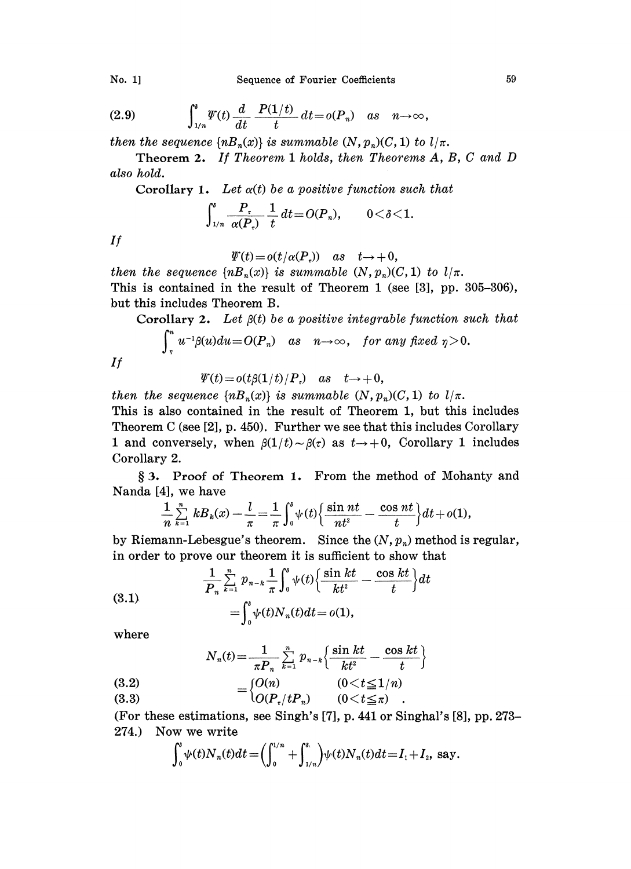No. 1] Sequence of Fourier Coefficients 59

(2.9) 
$$
\int_{1/n}^{s} \Psi(t) \frac{d}{dt} \frac{P(1/t)}{t} dt = o(P_n) \text{ as } n \to \infty,
$$

then the sequence  $\{nB_n(x)\}\$ is summable  $(N, p_n)(C, 1)$  to  $l/\pi$ .

Theorem 2. If Theorem <sup>1</sup> holds, then Theorems A, B, C and D also hold.

Corollary 1. Let 
$$
\alpha(t)
$$
 be a positive function such that  

$$
\int_{1/n}^{s} \frac{P_t}{\alpha(P_t)} \frac{1}{t} dt = O(P_n), \qquad 0 < \delta < 1.
$$

 $If$ 

$$
\varPsi(t)=o(t/\alpha(P_\circ))\quad as\quad t{\rightarrow}+0,
$$

then the sequence  $\{nB_n(x)\}\$ is summable  $(N, p_n)(C, 1)$  to  $l/\pi$ . This is contained in the result of Theorem I (see [3], pp. 305-306), but this includes Theorem B.

Corollary 2. Let  $\beta(t)$  be a positive integrable function such that

$$
\int_{\eta}^{n} u^{-1}\beta(u)du = O(P_n) \quad as \quad n \to \infty, \quad \textit{for any fixed } \eta > 0.
$$

If

 $\psi(t) = o(t\beta(1/t)/P)$  as  $t \rightarrow +0$ ,

then the sequence  $\{n B_n(x)\}\$ is summable  $(N, p_n)(C, 1)$  to  $l/\pi$ . This is also contained in the result of Theorem 1, but this includes Theorem C (see [2], p. 450). Further we see that this includes Corollary 1 and conversely, when  $\beta(1/t) \sim \beta(\tau)$  as  $t \rightarrow +0$ , Corollary 1 includes Corollary 2.

§ 3. Proof of Theorem 1. From the method of Mohanty and Nanda [4], we have

$$
\frac{1}{n}\sum_{k=1}^n\,k B_k(x)-\frac{l}{\pi}=\frac{1}{\pi}\int_0^s\psi(t)\Big\{\frac{\sin nt}{nt^2}-\frac{\cos nt}{t}\Big\}dt+o(1),
$$

by Riemann-Lebesgue's theorem. Since the  $(N, p_n)$  method is regular, in order to prove our theorem it is sufficient to show that

(3.1) 
$$
\frac{1}{P_n} \sum_{k=1}^n p_{n-k} \frac{1}{\pi} \int_0^s \psi(t) \left\{ \frac{\sin kt}{kt^2} - \frac{\cos kt}{t} \right\} dt
$$

$$
= \int_0^s \psi(t) N_n(t) dt = o(1),
$$

where

$$
N_n(t) = \frac{1}{\pi P_n} \sum_{k=1}^n p_{n-k} \left\{ \frac{\sin kt}{kt^2} - \frac{\cos kt}{t} \right\}
$$

(3.2)  $= \begin{cases} U(n) & (0 < t \leq 1/n) \\ O(P_1/tP_n) & (0 < t \leq \pi) \end{cases}$ 

(For these estimations, see Singh's [7], p. 441 or Singhal's [8], pp. 273- 274.) Now we write

$$
\int_0^s \psi(t) N_n(t) dt = \left( \int_0^{1/n} + \int_{1/n}^{t} \psi(t) N_n(t) dt = I_1 + I_2, \text{ say.}
$$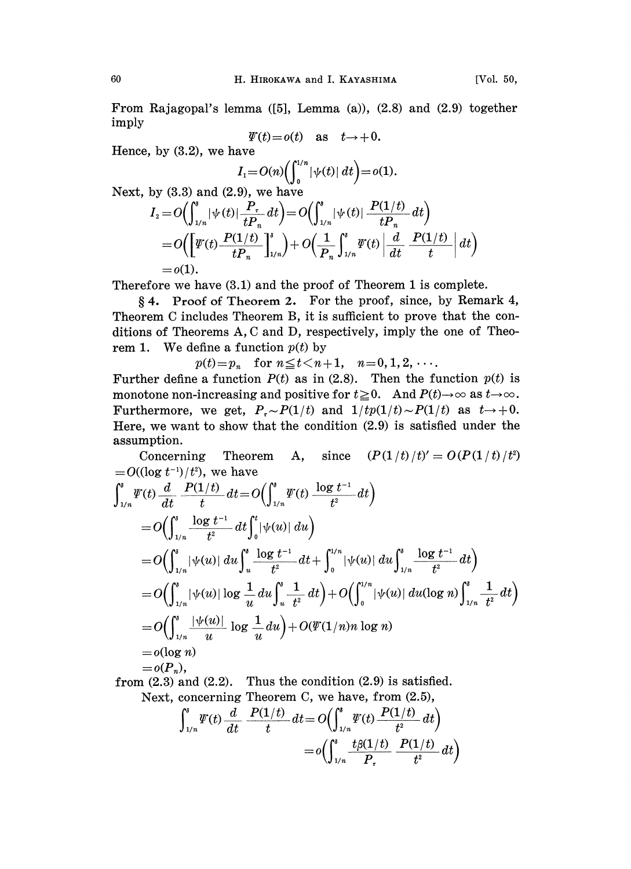From Rajagopal's lemma ([5], Lemma (a)), (2.8) and (2.9) together imply

$$
\psi(t) = o(t) \quad \text{as} \quad t \to +0.
$$

Hence, by  $(3.2)$ , we have

$$
I_1 = O(n) \Big( \int_0^{1/n} |\psi(t)| \, dt \Big) = o(1).
$$

Next, by  $(3.3)$  and  $(2.9)$ , we have

$$
I_2 = O\left(\int_{1/n}^s |\psi(t)| \frac{P_r}{t P_n} dt\right) = O\left(\int_{1/n}^s |\psi(t)| \frac{P(1/t)}{t P_n} dt\right)
$$
  
=  $O\left(\left[\Psi(t) \frac{P(1/t)}{t P_n}\right]_{1/n}^s\right) + O\left(\frac{1}{P_n}\int_{1/n}^s \Psi(t) \left|\frac{d}{dt} \frac{P(1/t)}{t}\right| dt\right)$   
=  $o(1)$ .

Therefore we have (3.1) and the proof of Theorem <sup>1</sup> is complete.

4. Proof of Theorem 2. For the proof, since, by Remark 4, Theorem C includes Theorem B, it is sufficient to prove that the conditions of Theorems A, C and D, respectively, imply the one of Theorem 1. We define a function  $p(t)$  by

 $p(t)=p_n$  for  $n \le t < n+1$ ,  $n=0,1,2,\ldots$ .

Further define a function  $P(t)$  as in (2.8). Then the function  $p(t)$  is monotone non-increasing and positive for  $t\geq 0$ . And  $P(t)\to\infty$  as  $t\to\infty$ . Furthermore, we get,  $P_{\tau} \sim P(1/t)$  and  $1/tp(1/t) \sim P(1/t)$  as  $t \to +0$ . Here, we want to show that the condition (2.9) is satisfied under the assumption.

Concerning Theorem A, since  $(P(1/t)/t)' = O(P(1/t)/t^2)$ =  $O((\log t^{-1})/t^2)$ , we have

$$
\int_{1/n}^{s} \Psi(t) \frac{d}{dt} \frac{P(1/t)}{t} dt = O\left(\int_{1/n}^{s} \Psi(t) \frac{\log t^{-1}}{t^2} dt\right)
$$
  
\n
$$
= O\left(\int_{1/n}^{s} \frac{\log t^{-1}}{t^2} dt \int_{0}^{t} |\psi(u)| du\right)
$$
  
\n
$$
= O\left(\int_{1/n}^{s} |\psi(u)| du \int_{u}^{s} \frac{\log t^{-1}}{t^2} dt + \int_{0}^{1/n} |\psi(u)| du \int_{1/n}^{s} \frac{\log t^{-1}}{t^2} dt\right)
$$
  
\n
$$
= O\left(\int_{1/n}^{s} |\psi(u)| \log \frac{1}{u} du \int_{u}^{s} \frac{1}{t^2} dt\right) + O\left(\int_{0}^{1/n} |\psi(u)| du (\log n) \int_{1/n}^{s} \frac{1}{t^2} dt\right)
$$
  
\n
$$
= O\left(\int_{1/n}^{s} \frac{|\psi(u)|}{u} \log \frac{1}{u} du\right) + O(\Psi(1/n)n \log n)
$$
  
\n
$$
= o(\log n)
$$
  
\n
$$
= o(P_n),
$$
  
\n
$$
= o(P_n),
$$

from  $(2.3)$  and  $(2.2)$ . Thus the condition  $(2.9)$  is satisfied. Next, concerning Theorem C, we have, from  $(2.5)$ ,

$$
\int_{1/n}^{s} \Psi(t) \frac{d}{dt} \frac{P(1/t)}{t} dt = O\left(\int_{1/n}^{s} \Psi(t) \frac{P(1/t)}{t^2} dt\right)
$$
  
=  $o\left(\int_{1/n}^{s} \frac{t \beta(1/t)}{P_{\tau}} \frac{P(1/t)}{t^2} dt\right)$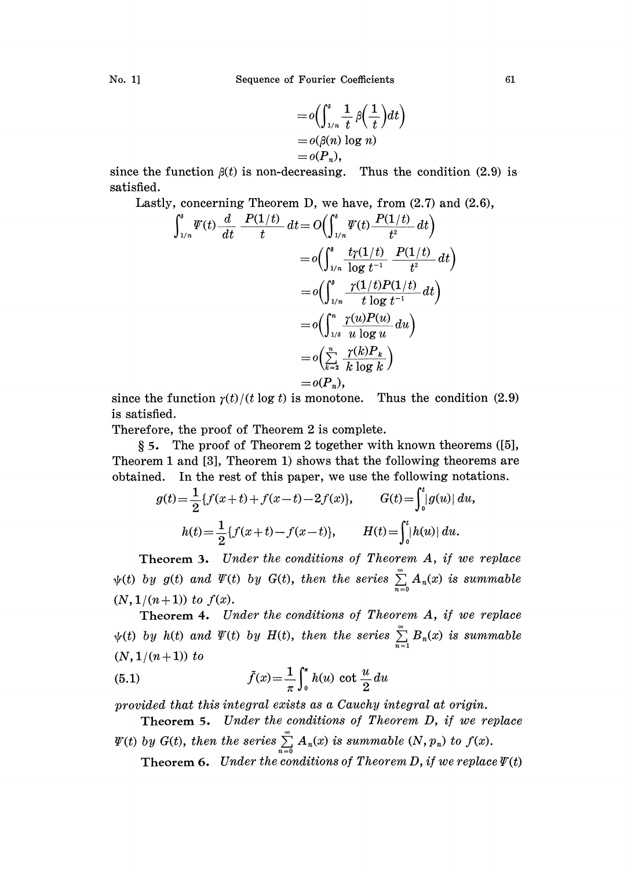$$
=o\left(\int_{1/n}^s \frac{1}{t}\,\beta\left(\frac{1}{t}\right)dt\right) =o(\beta(n)\log n) =o(P_n),
$$

since the function  $\beta(t)$  is non-decreasing. Thus the condition (2.9) is satisfied.

Lastly, concerning Theorem D, we have, from (2.7) and (2.6),

$$
\int_{1/n}^s \Psi(t) \frac{d}{dt} \frac{P(1/t)}{t} dt = O\left(\int_{1/n}^s \Psi(t) \frac{P(1/t)}{t^2} dt\right)
$$
  
\n
$$
= o\left(\int_{1/n}^s \frac{t\gamma(1/t)}{\log t^{-1}} \frac{P(1/t)}{t^2} dt\right)
$$
  
\n
$$
= o\left(\int_{1/n}^s \frac{\gamma(1/t)P(1/t)}{t \log t^{-1}} dt\right)
$$
  
\n
$$
= o\left(\int_{1/\delta}^n \frac{\gamma(u)P(u)}{u \log u} du\right)
$$
  
\n
$$
= o\left(\sum_{k=2}^n \frac{\gamma(k)P_k}{k \log k}\right)
$$
  
\n
$$
= o(P_n),
$$

since the function  $r(t)/(t \log t)$  is monotone. Thus the condition (2.9) is satisfied.

Therefore, the proof of Theorem 2 is complete.

5. The proof of Theorem 2 together with known theorems ([5], Theorem 1 and [3], Theorem 1) shows that the following theorems are obtained. In the rest of this paper, we use the following notations.

$$
g(t) = \frac{1}{2} \{ f(x+t) + f(x-t) - 2f(x) \}, \qquad G(t) = \int_0^t |g(u)| \, du,
$$
  

$$
h(t) = \frac{1}{2} \{ f(x+t) - f(x-t) \}, \qquad H(t) = \int_0^t |h(u)| \, du.
$$

Theorem 3. Under the conditions of Theorem A, if we replace  $\psi(t)$  by  $g(t)$  and  $\varPsi(t)$  by  $G(t)$ , then the series  $\sum\limits_{n=0} A_n(x)$  is summable  $(N, 1/(n+1))$  to  $f(x)$ .

Theorem 4. Under the conditions of Theorem A, if we replace  $\psi(t)$  by h(t) and  $\Psi(t)$  by H(t), then the series  $\sum_{n=1}^{\infty} B_n(x)$  is summable  $(N, 1/(n+1))$  to

(5.1) 
$$
\bar{f}(x) = \frac{1}{\pi} \int_0^{\pi} h(u) \cot \frac{u}{2} du
$$

provided that this integral exists as a Cauchy integral at origin.

- Theorem 5. Under the conditions of Theorem D, if we replace
- $\varPsi(t)$  by  $G(t)$ , then the series  $\sum_{n=0}^{\infty} A_n(x)$  is summable  $(N, p_n)$  to  $f(x)$ . Theorem 6. Under the conditions of Theorem D, if we replace  $\Psi(t)$